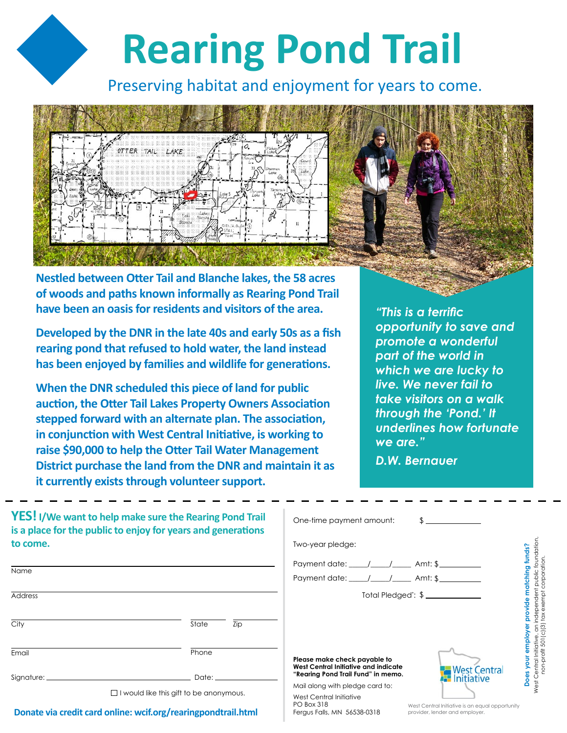## **Rearing Pond Trail**

Preserving habitat and enjoyment for years to come.



**Nestled between Otter Tail and Blanche lakes, the 58 acres of woods and paths known informally as Rearing Pond Trail have been an oasis for residents and visitors of the area.** 

**Developed by the DNR in the late 40s and early 50s as a fish rearing pond that refused to hold water, the land instead has been enjoyed by families and wildlife for generations.**

**When the DNR scheduled this piece of land for public auction, the Otter Tail Lakes Property Owners Association stepped forward with an alternate plan. The association, in conjunction with West Central Initiative, is working to raise \$90,000 to help the Otter Tail Water Management District purchase the land from the DNR and maintain it as it currently exists through volunteer support.**

*"This is a terrific opportunity to save and promote a wonderful part of the world in which we are lucky to live. We never fail to take visitors on a walk through the 'Pond.' It underlines how fortunate we are."*

*D.W. Bernauer*

**YES! I/We want to help make sure the Rearing Pond Trail is a place for the public to enjoy for years and generations to come.**

| Name                  |       |     |
|-----------------------|-------|-----|
| Address               |       |     |
| City                  | State | Zip |
| Email                 | Phone |     |
| Signature: __________ | Date: |     |

 $\Box$  I would like this gift to be anonymous.

**Donate via credit card online: wcif.org/rearingpondtrail.html** 

| One-time payment amount:                            |
|-----------------------------------------------------|
| Two-year pledge:                                    |
| Payment date: _____/_____/______ Amt: \$___________ |
|                                                     |
|                                                     |
|                                                     |
|                                                     |

**Please make check payable to West Central Initiative and indicate "Rearing Pond Trail Fund" in memo.**

Mail along with pledge card to:

West Central Initiative PO Box 318 Fergus Falls, MN 56538-0318 **West Central** Initiative

West Central Initiative is an eaual opportunity

provider, lender and employer.

West Central Initiative, an independent public foundation, West Central Initiative, an independent public foundation<br>non-profit 501(c)[3] tax exempt corporation. Does your employer provide matching funds? **Does your employer provide matching funds?** non-profit 501(c)(3) tax exempt corporation.